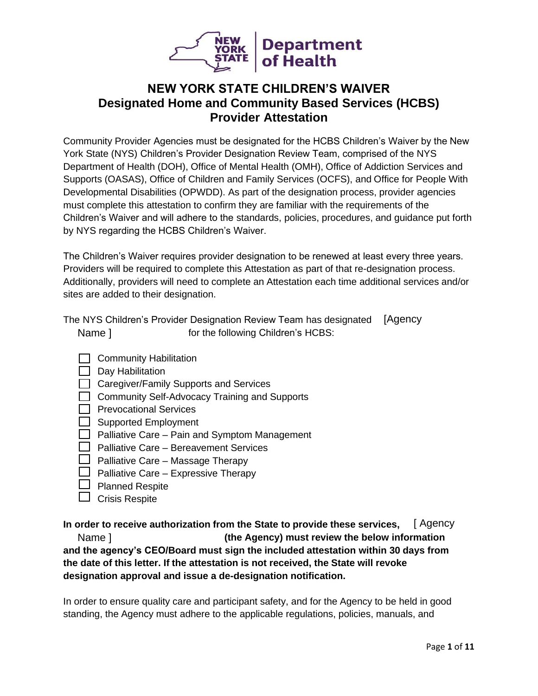

# **NEW YORK STATE CHILDREN'S WAIVER Designated Home and Community Based Services (HCBS) Provider Attestation**

Community Provider Agencies must be designated for the HCBS Children's Waiver by the New York State (NYS) Children's Provider Designation Review Team, comprised of the NYS Department of Health (DOH), Office of Mental Health (OMH), Office of Addiction Services and Supports (OASAS), Office of Children and Family Services (OCFS), and Office for People With Developmental Disabilities (OPWDD). As part of the designation process, provider agencies must complete this attestation to confirm they are familiar with the requirements of the Children's Waiver and will adhere to the standards, policies, procedures, and guidance put forth by NYS regarding the HCBS Children's Waiver.

The Children's Waiver requires provider designation to be renewed at least every three years. Providers will be required to complete this Attestation as part of that re-designation process. Additionally, providers will need to complete an Attestation each time additional services and/or sites are added to their designation.

The NYS Children's Provider Designation Review Team has designated [Agency Name ] for the following Children's HCBS:

- $\Box$  Community Habilitation
- $\Box$  Day Habilitation
- $\Box$  Caregiver/Family Supports and Services
- $\Box$  Community Self-Advocacy Training and Supports
- $\Box$  Prevocational Services
- $\Box$  Supported Employment
- $\Box$  Palliative Care Pain and Symptom Management
- $\Box$  Palliative Care Bereavement Services
- $\Box$  Palliative Care Massage Therapy
- $\Box$  Palliative Care Expressive Therapy
- $\Box$  Planned Respite
- $\Box$  Crisis Respite

In order to receive authorization from the State to provide these services, [Agency<br>Name] (the Agency) must review the below information  **(the Agency) must review the below information and the agency's CEO/Board must sign the included attestation within 30 days from the date of this letter. If the attestation is not received, the State will revoke designation approval and issue a de-designation notification.**

In order to ensure quality care and participant safety, and for the Agency to be held in good standing, the Agency must adhere to the applicable regulations, policies, manuals, and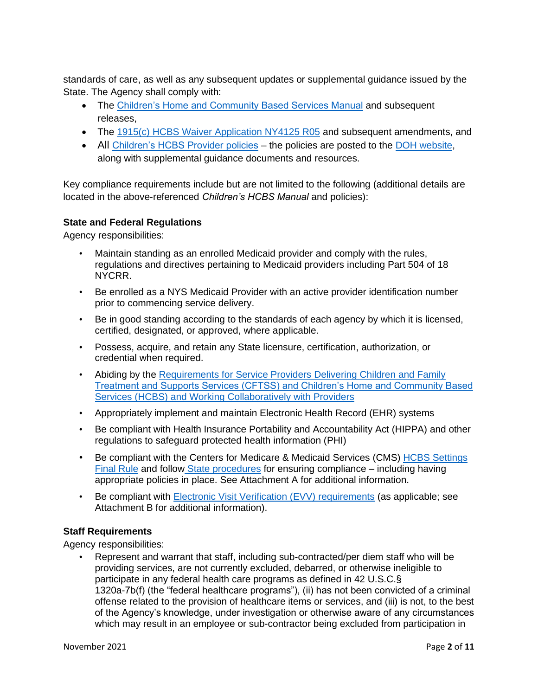standards of care, as well as any subsequent updates or supplemental guidance issued by the State. The Agency shall comply with:

- The [Children's Home and Community Based Services Manual](https://www.health.ny.gov/health_care/medicaid/redesign/behavioral_health/children/docs/hcbs_manual.pdf) and subsequent releases,
- The [1915\(c\) HCBS Waiver Application NY4125 R05](https://www.health.ny.gov/health_care/medicaid/redesign/behavioral_health/children/overview.htm) and subsequent amendments, and
- All [Children's HCBS Provider policies](https://health.ny.gov/health_care/medicaid/redesign/behavioral_health/children/docs/children_hcbs_policy_announcement.pdf) the policies are posted to the [DOH website,](https://www.health.ny.gov/health_care/medicaid/redesign/behavioral_health/children/1115_waiver_amend.htm) along with supplemental guidance documents and resources.

Key compliance requirements include but are not limited to the following (additional details are located in the above-referenced *Children's HCBS Manual* and policies):

## **State and Federal Regulations**

Agency responsibilities:

- Maintain standing as an enrolled Medicaid provider and comply with the rules, regulations and directives pertaining to Medicaid providers including Part 504 of 18 NYCRR.
- Be enrolled as a NYS Medicaid Provider with an active provider identification number prior to commencing service delivery.
- Be in good standing according to the standards of each agency by which it is licensed, certified, designated, or approved, where applicable.
- Possess, acquire, and retain any State licensure, certification, authorization, or credential when required.
- Abiding by the [Requirements for Service Providers Delivering Children and Family](https://www.health.ny.gov/health_care/medicaid/redesign/behavioral_health/children/docs/service_delivery_designation_guidance_cftss_hcbs.pdf)  [Treatment and Supports Services \(CFTSS\) and Children's Home and Community Based](https://www.health.ny.gov/health_care/medicaid/redesign/behavioral_health/children/docs/service_delivery_designation_guidance_cftss_hcbs.pdf)  [Services \(HCBS\) and Working Collaboratively with Providers](https://www.health.ny.gov/health_care/medicaid/redesign/behavioral_health/children/docs/service_delivery_designation_guidance_cftss_hcbs.pdf)
- Appropriately implement and maintain Electronic Health Record (EHR) systems
- Be compliant with Health Insurance Portability and Accountability Act (HIPPA) and other regulations to safeguard protected health information (PHI)
- Be compliant with the Centers for Medicare & Medicaid Services (CMS) [HCBS Settings](https://www.health.ny.gov/health_care/medicaid/redesign/docs/hcbs_final_rule.pdf)  [Final Rule](https://www.health.ny.gov/health_care/medicaid/redesign/docs/hcbs_final_rule.pdf) and follow [State procedures](https://www.health.ny.gov/health_care/medicaid/redesign/behavioral_health/children/docs/childrens_waiver_hcbs_final_rule_info_letter_12.3.20.pdf) for ensuring compliance – including having appropriate policies in place. See Attachment A for additional information.
- Be compliant with [Electronic Visit Verification \(EVV\) requirements](https://www.health.ny.gov/health_care/medicaid/redesign/evv/index.htm) (as applicable; see Attachment B for additional information).

## **Staff Requirements**

Agency responsibilities:

• Represent and warrant that staff, including sub-contracted/per diem staff who will be providing services, are not currently excluded, debarred, or otherwise ineligible to participate in any federal health care programs as defined in 42 U.S.C.§ 1320a-7b(f) (the "federal healthcare programs"), (ii) has not been convicted of a criminal offense related to the provision of healthcare items or services, and (iii) is not, to the best of the Agency's knowledge, under investigation or otherwise aware of any circumstances which may result in an employee or sub-contractor being excluded from participation in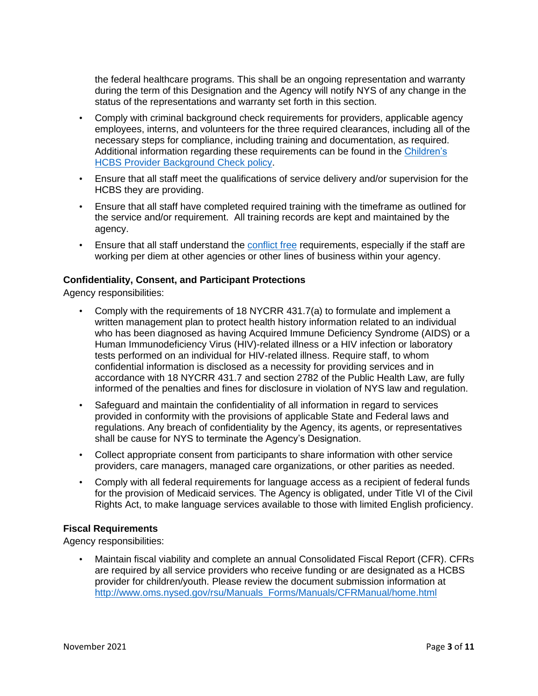the federal healthcare programs. This shall be an ongoing representation and warranty during the term of this Designation and the Agency will notify NYS of any change in the status of the representations and warranty set forth in this section.

- Comply with criminal background check requirements for providers, applicable agency employees, interns, and volunteers for the three required clearances, including all of the necessary steps for compliance, including training and documentation, as required. Additional information regarding these requirements can be found in the [Children's](https://www.health.ny.gov/health_care/medicaid/redesign/behavioral_health/children/docs/cw0001_hcbs_provider_background_check_policy.pdf)  [HCBS Provider Background Check](https://www.health.ny.gov/health_care/medicaid/redesign/behavioral_health/children/docs/cw0001_hcbs_provider_background_check_policy.pdf) policy.
- Ensure that all staff meet the qualifications of service delivery and/or supervision for the HCBS they are providing.
- Ensure that all staff have completed required training with the timeframe as outlined for the service and/or requirement. All training records are kept and maintained by the agency.
- Ensure that all staff understand the [conflict free](https://www.health.ny.gov/health_care/medicaid/program/medicaid_health_homes/policy/docs/hh0012_conflict_free_care_management_policy.pdf) requirements, especially if the staff are working per diem at other agencies or other lines of business within your agency.

#### **Confidentiality, Consent, and Participant Protections**

Agency responsibilities:

- Comply with the requirements of 18 NYCRR 431.7(a) to formulate and implement a written management plan to protect health history information related to an individual who has been diagnosed as having Acquired Immune Deficiency Syndrome (AIDS) or a Human Immunodeficiency Virus (HIV)-related illness or a HIV infection or laboratory tests performed on an individual for HIV-related illness. Require staff, to whom confidential information is disclosed as a necessity for providing services and in accordance with 18 NYCRR 431.7 and section 2782 of the Public Health Law, are fully informed of the penalties and fines for disclosure in violation of NYS law and regulation.
- Safeguard and maintain the confidentiality of all information in regard to services provided in conformity with the provisions of applicable State and Federal laws and regulations. Any breach of confidentiality by the Agency, its agents, or representatives shall be cause for NYS to terminate the Agency's Designation.
- Collect appropriate consent from participants to share information with other service providers, care managers, managed care organizations, or other parities as needed.
- Comply with all federal requirements for language access as a recipient of federal funds for the provision of Medicaid services. The Agency is obligated, under Title VI of the Civil Rights Act, to make language services available to those with limited English proficiency.

### **Fiscal Requirements**

Agency responsibilities:

• Maintain fiscal viability and complete an annual Consolidated Fiscal Report (CFR). CFRs are required by all service providers who receive funding or are designated as a HCBS provider for children/youth. Please review the document submission information at [http://www.oms.nysed.gov/rsu/Manuals\\_Forms/Manuals/CFRManual/home.html](http://www.oms.nysed.gov/rsu/Manuals_Forms/Manuals/CFRManual/home.html)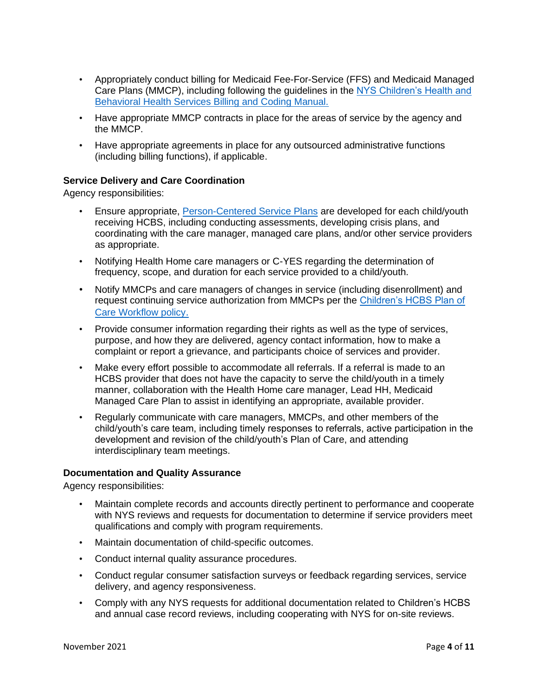- Appropriately conduct billing for Medicaid Fee-For-Service (FFS) and Medicaid Managed Care Plans (MMCP), including following the guidelines in the [NYS Children's Health and](https://www.health.ny.gov/health_care/medicaid/redesign/behavioral_health/children/docs/billing_manual.pdf)  [Behavioral Health Services Billing and Coding Manual.](https://www.health.ny.gov/health_care/medicaid/redesign/behavioral_health/children/docs/billing_manual.pdf)
- Have appropriate MMCP contracts in place for the areas of service by the agency and the MMCP.
- Have appropriate agreements in place for any outsourced administrative functions (including billing functions), if applicable.

## **Service Delivery and Care Coordination**

Agency responsibilities:

- Ensure appropriate, [Person-Centered](https://www.health.ny.gov/health_care/medicaid/publications/docs/adm/19adm01_att1.pdf) Service Plans are developed for each child/youth receiving HCBS, including conducting assessments, developing crisis plans, and coordinating with the care manager, managed care plans, and/or other service providers as appropriate.
- Notifying Health Home care managers or C-YES regarding the determination of frequency, scope, and duration for each service provided to a child/youth.
- Notify MMCPs and care managers of changes in service (including disenrollment) and request continuing service authorization from MMCPs per the [Children's HCBS Plan of](https://www.health.ny.gov/health_care/medicaid/redesign/behavioral_health/children/docs/cw0002_childrens_hcbs_poc_workflow.pdf)  [Care Workflow policy](https://www.health.ny.gov/health_care/medicaid/redesign/behavioral_health/children/docs/cw0002_childrens_hcbs_poc_workflow.pdf).
- Provide consumer information regarding their rights as well as the type of services, purpose, and how they are delivered, agency contact information, how to make a complaint or report a grievance, and participants choice of services and provider.
- Make every effort possible to accommodate all referrals. If a referral is made to an HCBS provider that does not have the capacity to serve the child/youth in a timely manner, collaboration with the Health Home care manager, Lead HH, Medicaid Managed Care Plan to assist in identifying an appropriate, available provider.
- Regularly communicate with care managers, MMCPs, and other members of the child/youth's care team, including timely responses to referrals, active participation in the development and revision of the child/youth's Plan of Care, and attending interdisciplinary team meetings.

### **Documentation and Quality Assurance**

Agency responsibilities:

- Maintain complete records and accounts directly pertinent to performance and cooperate with NYS reviews and requests for documentation to determine if service providers meet qualifications and comply with program requirements.
- Maintain documentation of child-specific outcomes.
- Conduct internal quality assurance procedures.
- Conduct regular consumer satisfaction surveys or feedback regarding services, service delivery, and agency responsiveness.
- Comply with any NYS requests for additional documentation related to Children's HCBS and annual case record reviews, including cooperating with NYS for on-site reviews.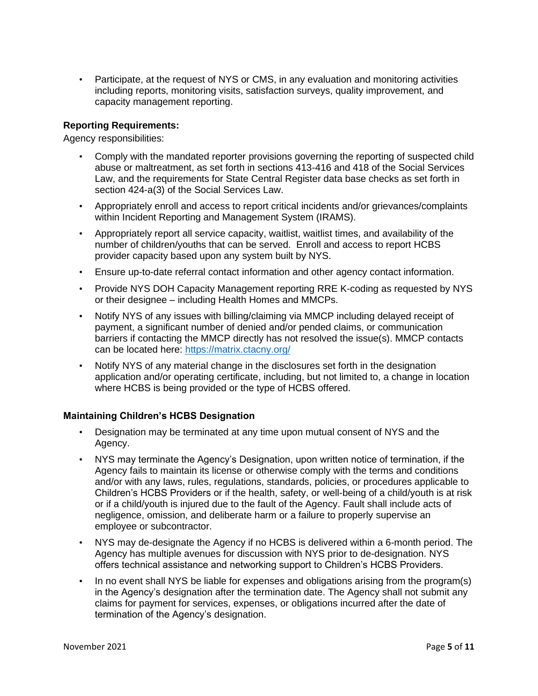• Participate, at the request of NYS or CMS, in any evaluation and monitoring activities including reports, monitoring visits, satisfaction surveys, quality improvement, and capacity management reporting.

### **Reporting Requirements:**

Agency responsibilities:

- Comply with the mandated reporter provisions governing the reporting of suspected child abuse or maltreatment, as set forth in sections 413-416 and 418 of the Social Services Law, and the requirements for State Central Register data base checks as set forth in section 424-a(3) of the Social Services Law.
- Appropriately enroll and access to report critical incidents and/or grievances/complaints within Incident Reporting and Management System (IRAMS).
- Appropriately report all service capacity, waitlist, waitlist times, and availability of the number of children/youths that can be served. Enroll and access to report HCBS provider capacity based upon any system built by NYS.
- Ensure up-to-date referral contact information and other agency contact information.
- Provide NYS DOH Capacity Management reporting RRE K-coding as requested by NYS or their designee – including Health Homes and MMCPs.
- Notify NYS of any issues with billing/claiming via MMCP including delayed receipt of payment, a significant number of denied and/or pended claims, or communication barriers if contacting the MMCP directly has not resolved the issue(s). MMCP contacts can be located here:<https://matrix.ctacny.org/>
- Notify NYS of any material change in the disclosures set forth in the designation application and/or operating certificate, including, but not limited to, a change in location where HCBS is being provided or the type of HCBS offered.

## **Maintaining Children's HCBS Designation**

- Designation may be terminated at any time upon mutual consent of NYS and the Agency.
- NYS may terminate the Agency's Designation, upon written notice of termination, if the Agency fails to maintain its license or otherwise comply with the terms and conditions and/or with any laws, rules, regulations, standards, policies, or procedures applicable to Children's HCBS Providers or if the health, safety, or well-being of a child/youth is at risk or if a child/youth is injured due to the fault of the Agency. Fault shall include acts of negligence, omission, and deliberate harm or a failure to properly supervise an employee or subcontractor.
- NYS may de-designate the Agency if no HCBS is delivered within a 6-month period. The Agency has multiple avenues for discussion with NYS prior to de-designation. NYS offers technical assistance and networking support to Children's HCBS Providers.
- In no event shall NYS be liable for expenses and obligations arising from the program(s) in the Agency's designation after the termination date. The Agency shall not submit any claims for payment for services, expenses, or obligations incurred after the date of termination of the Agency's designation.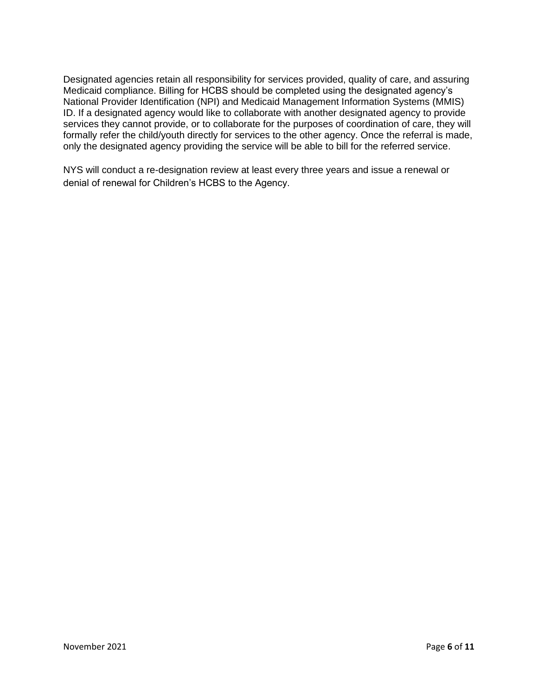Designated agencies retain all responsibility for services provided, quality of care, and assuring Medicaid compliance. Billing for HCBS should be completed using the designated agency's National Provider Identification (NPI) and Medicaid Management Information Systems (MMIS) ID. If a designated agency would like to collaborate with another designated agency to provide services they cannot provide, or to collaborate for the purposes of coordination of care, they will formally refer the child/youth directly for services to the other agency. Once the referral is made, only the designated agency providing the service will be able to bill for the referred service.

NYS will conduct a re-designation review at least every three years and issue a renewal or denial of renewal for Children's HCBS to the Agency.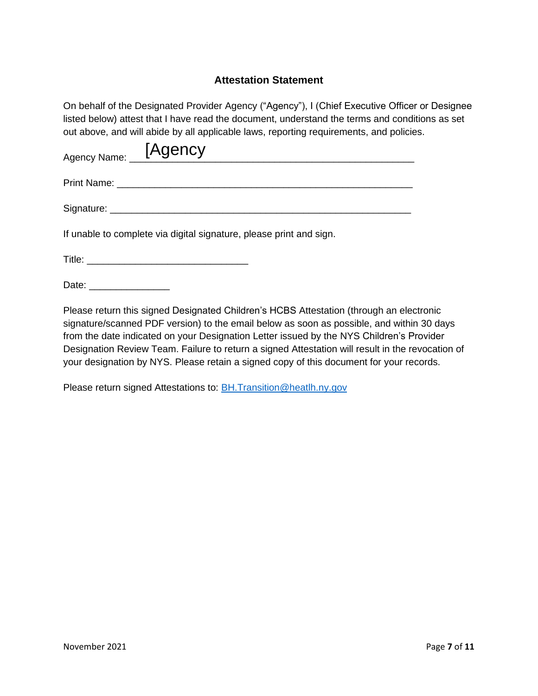# **Attestation Statement**

On behalf of the Designated Provider Agency ("Agency"), I (Chief Executive Officer or Designee listed below) attest that I have read the document, understand the terms and conditions as set out above, and will abide by all applicable laws, reporting requirements, and policies.

| Agency Name: [Agency |  |
|----------------------|--|
| Print Name:          |  |
| Signature: _         |  |

If unable to complete via digital signature, please print and sign.

Title: \_\_\_\_\_\_\_\_\_\_\_\_\_\_\_\_\_\_\_\_\_\_\_\_\_\_\_\_\_\_

Date: \_\_\_\_\_\_\_\_\_\_\_\_\_\_\_

Please return this signed Designated Children's HCBS Attestation (through an electronic signature/scanned PDF version) to the email below as soon as possible, and within 30 days from the date indicated on your Designation Letter issued by the NYS Children's Provider Designation Review Team. Failure to return a signed Attestation will result in the revocation of your designation by NYS. Please retain a signed copy of this document for your records.

Please return signed Attestations to: [BH.Transition@heatlh.ny.gov](mailto:BH.Transition@heatlh.ny.gov)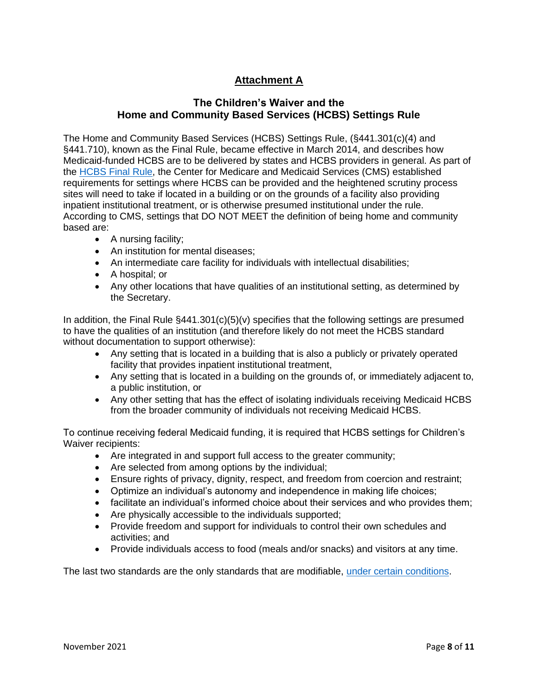# **Attachment A**

# **The Children's Waiver and the Home and Community Based Services (HCBS) Settings Rule**

The Home and Community Based Services (HCBS) Settings Rule, (§441.301(c)(4) and §441.710), known as the Final Rule, became effective in March 2014, and describes how Medicaid-funded HCBS are to be delivered by states and HCBS providers in general. As part of the [HCBS Final Rule,](https://health.ny.gov/health_care/medicaid/redesign/behavioral_health/children/provider_info.htm) the Center for Medicare and Medicaid Services (CMS) established requirements for settings where HCBS can be provided and the heightened scrutiny process sites will need to take if located in a building or on the grounds of a facility also providing inpatient institutional treatment, or is otherwise presumed institutional under the rule. According to CMS, settings that DO NOT MEET the definition of being home and community based are:

- A nursing facility;
- An institution for mental diseases;
- An intermediate care facility for individuals with intellectual disabilities;
- A hospital; or
- Any other locations that have qualities of an institutional setting, as determined by the Secretary.

In addition, the Final Rule §441.301(c)(5)(v) specifies that the following settings are presumed to have the qualities of an institution (and therefore likely do not meet the HCBS standard without documentation to support otherwise):

- Any setting that is located in a building that is also a publicly or privately operated facility that provides inpatient institutional treatment,
- Any setting that is located in a building on the grounds of, or immediately adjacent to, a public institution, or
- Any other setting that has the effect of isolating individuals receiving Medicaid HCBS from the broader community of individuals not receiving Medicaid HCBS.

To continue receiving federal Medicaid funding, it is required that HCBS settings for Children's Waiver recipients:

- Are integrated in and support full access to the greater community;
- Are selected from among options by the individual;
- Ensure rights of privacy, dignity, respect, and freedom from coercion and restraint;
- Optimize an individual's autonomy and independence in making life choices;
- facilitate an individual's informed choice about their services and who provides them;
- Are physically accessible to the individuals supported;
- Provide freedom and support for individuals to control their own schedules and activities; and
- Provide individuals access to food (meals and/or snacks) and visitors at any time.

The last two standards are the only standards that are modifiable, [under certain conditions.](https://health.ny.gov/health_care/medicaid/redesign/behavioral_health/children/hcbs_manual.htm#_TOC_250010)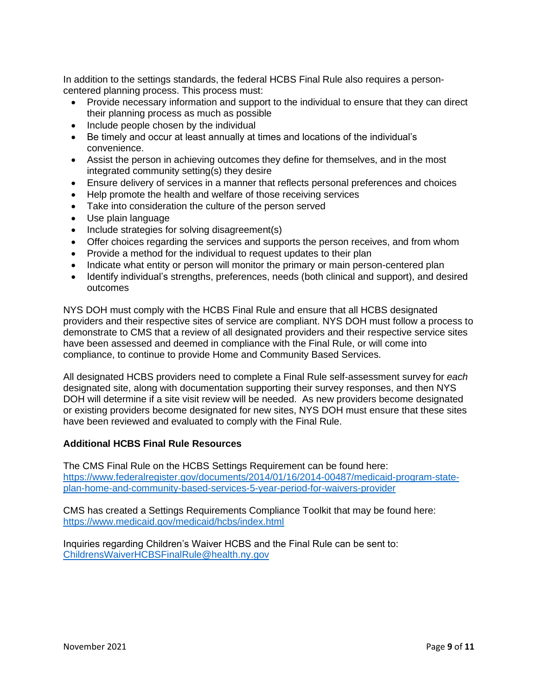In addition to the settings standards, the federal HCBS Final Rule also requires a personcentered planning process. This process must:

- Provide necessary information and support to the individual to ensure that they can direct their planning process as much as possible
- Include people chosen by the individual
- Be timely and occur at least annually at times and locations of the individual's convenience.
- Assist the person in achieving outcomes they define for themselves, and in the most integrated community setting(s) they desire
- Ensure delivery of services in a manner that reflects personal preferences and choices
- Help promote the health and welfare of those receiving services
- Take into consideration the culture of the person served
- Use plain language
- Include strategies for solving disagreement(s)
- Offer choices regarding the services and supports the person receives, and from whom
- Provide a method for the individual to request updates to their plan
- Indicate what entity or person will monitor the primary or main person-centered plan
- Identify individual's strengths, preferences, needs (both clinical and support), and desired outcomes

NYS DOH must comply with the HCBS Final Rule and ensure that all HCBS designated providers and their respective sites of service are compliant. NYS DOH must follow a process to demonstrate to CMS that a review of all designated providers and their respective service sites have been assessed and deemed in compliance with the Final Rule, or will come into compliance, to continue to provide Home and Community Based Services.

All designated HCBS providers need to complete a Final Rule self-assessment survey for *each* designated site, along with documentation supporting their survey responses, and then NYS DOH will determine if a site visit review will be needed. As new providers become designated or existing providers become designated for new sites, NYS DOH must ensure that these sites have been reviewed and evaluated to comply with the Final Rule.

### **Additional HCBS Final Rule Resources**

The CMS Final Rule on the HCBS Settings Requirement can be found here: [https://www.federalregister.gov/documents/2014/01/16/2014-00487/medicaid-program-state](https://www.federalregister.gov/documents/2014/01/16/2014-00487/medicaid-program-state-plan-home-and-community-based-services-5-year-period-for-waivers-provider)[plan-home-and-community-based-services-5-year-period-for-waivers-provider](https://www.federalregister.gov/documents/2014/01/16/2014-00487/medicaid-program-state-plan-home-and-community-based-services-5-year-period-for-waivers-provider)

CMS has created a Settings Requirements Compliance Toolkit that may be found here: <https://www.medicaid.gov/medicaid/hcbs/index.html>

Inquiries regarding Children's Waiver HCBS and the Final Rule can be sent to: [ChildrensWaiverHCBSFinalRule@health.ny.gov](mailto:ChildrensWaiverHCBSFinalRule@health.ny.gov)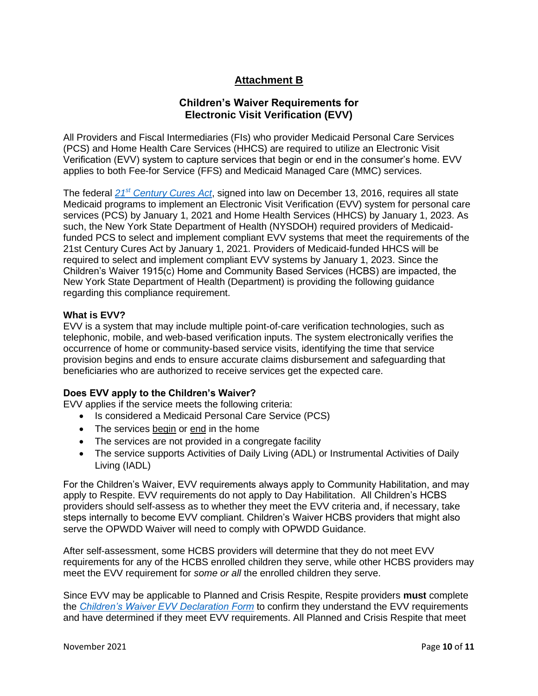# **Attachment B**

# **Children's Waiver Requirements for Electronic Visit Verification (EVV)**

All Providers and Fiscal Intermediaries (FIs) who provider Medicaid Personal Care Services (PCS) and Home Health Care Services (HHCS) are required to utilize an Electronic Visit Verification (EVV) system to capture services that begin or end in the consumer's home. EVV applies to both Fee-for Service (FFS) and Medicaid Managed Care (MMC) services.

The federal *21st [Century Cures Act](https://www.congress.gov/bill/114th-congress/house-bill/34/text)*, signed into law on December 13, 2016, requires all state Medicaid programs to implement an Electronic Visit Verification (EVV) system for personal care services (PCS) by January 1, 2021 and Home Health Services (HHCS) by January 1, 2023. As such, the New York State Department of Health (NYSDOH) required providers of Medicaidfunded PCS to select and implement compliant EVV systems that meet the requirements of the 21st Century Cures Act by January 1, 2021. Providers of Medicaid-funded HHCS will be required to select and implement compliant EVV systems by January 1, 2023. Since the Children's Waiver 1915(c) Home and Community Based Services (HCBS) are impacted, the New York State Department of Health (Department) is providing the following guidance regarding this compliance requirement.

### **What is EVV?**

EVV is a system that may include multiple point-of-care verification technologies, such as telephonic, mobile, and web-based verification inputs. The system electronically verifies the occurrence of home or community-based service visits, identifying the time that service provision begins and ends to ensure accurate claims disbursement and safeguarding that beneficiaries who are authorized to receive services get the expected care.

## **Does EVV apply to the Children's Waiver?**

EVV applies if the service meets the following criteria:

- Is considered a Medicaid Personal Care Service (PCS)
- The services begin or end in the home
- The services are not provided in a congregate facility
- The service supports Activities of Daily Living (ADL) or Instrumental Activities of Daily Living (IADL)

For the Children's Waiver, EVV requirements always apply to Community Habilitation, and may apply to Respite. EVV requirements do not apply to Day Habilitation. All Children's HCBS providers should self-assess as to whether they meet the EVV criteria and, if necessary, take steps internally to become EVV compliant. Children's Waiver HCBS providers that might also serve the OPWDD Waiver will need to comply with OPWDD Guidance.

After self-assessment, some HCBS providers will determine that they do not meet EVV requirements for any of the HCBS enrolled children they serve, while other HCBS providers may meet the EVV requirement for *some or all* the enrolled children they serve.

Since EVV may be applicable to Planned and Crisis Respite, Respite providers **must** complete the *[Children's Waiver EVV Declaration Form](https://health.ny.gov/health_care/medicaid/redesign/behavioral_health/children/docs/childrens_waiver_evv_declaration_form.pdf)* to confirm they understand the EVV requirements and have determined if they meet EVV requirements. All Planned and Crisis Respite that meet